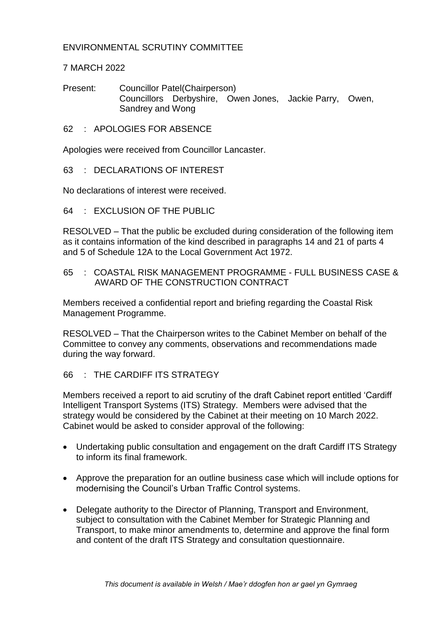## ENVIRONMENTAL SCRUTINY COMMITTEE

## 7 MARCH 2022

Present: Councillor Patel(Chairperson) Councillors Derbyshire, Owen Jones, Jackie Parry, Owen, Sandrey and Wong

62 : APOLOGIES FOR ABSENCE

Apologies were received from Councillor Lancaster.

63 : DECLARATIONS OF INTEREST

No declarations of interest were received.

 $64$  : FXCLUSION OF THE PUBLIC

RESOLVED – That the public be excluded during consideration of the following item as it contains information of the kind described in paragraphs 14 and 21 of parts 4 and 5 of Schedule 12A to the Local Government Act 1972.

65 : COASTAL RISK MANAGEMENT PROGRAMME - FULL BUSINESS CASE & AWARD OF THE CONSTRUCTION CONTRACT

Members received a confidential report and briefing regarding the Coastal Risk Management Programme.

RESOLVED – That the Chairperson writes to the Cabinet Member on behalf of the Committee to convey any comments, observations and recommendations made during the way forward.

## 66 : THE CARDIFF ITS STRATEGY

Members received a report to aid scrutiny of the draft Cabinet report entitled 'Cardiff Intelligent Transport Systems (ITS) Strategy. Members were advised that the strategy would be considered by the Cabinet at their meeting on 10 March 2022. Cabinet would be asked to consider approval of the following:

- Undertaking public consultation and engagement on the draft Cardiff ITS Strategy to inform its final framework.
- Approve the preparation for an outline business case which will include options for modernising the Council's Urban Traffic Control systems.
- Delegate authority to the Director of Planning, Transport and Environment, subject to consultation with the Cabinet Member for Strategic Planning and Transport, to make minor amendments to, determine and approve the final form and content of the draft ITS Strategy and consultation questionnaire.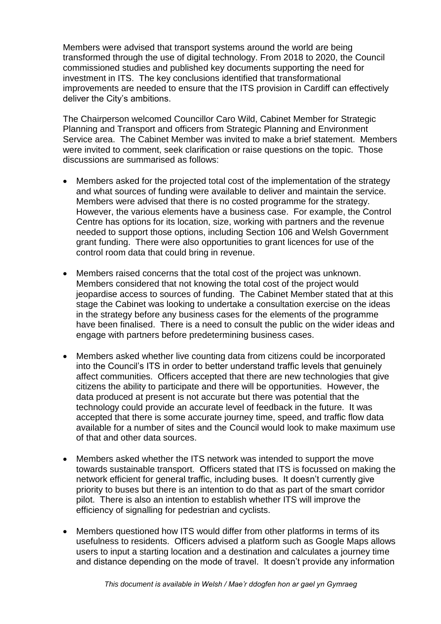Members were advised that transport systems around the world are being transformed through the use of digital technology. From 2018 to 2020, the Council commissioned studies and published key documents supporting the need for investment in ITS. The key conclusions identified that transformational improvements are needed to ensure that the ITS provision in Cardiff can effectively deliver the City's ambitions.

The Chairperson welcomed Councillor Caro Wild, Cabinet Member for Strategic Planning and Transport and officers from Strategic Planning and Environment Service area. The Cabinet Member was invited to make a brief statement. Members were invited to comment, seek clarification or raise questions on the topic. Those discussions are summarised as follows:

- Members asked for the projected total cost of the implementation of the strategy and what sources of funding were available to deliver and maintain the service. Members were advised that there is no costed programme for the strategy. However, the various elements have a business case. For example, the Control Centre has options for its location, size, working with partners and the revenue needed to support those options, including Section 106 and Welsh Government grant funding. There were also opportunities to grant licences for use of the control room data that could bring in revenue.
- Members raised concerns that the total cost of the project was unknown. Members considered that not knowing the total cost of the project would jeopardise access to sources of funding. The Cabinet Member stated that at this stage the Cabinet was looking to undertake a consultation exercise on the ideas in the strategy before any business cases for the elements of the programme have been finalised. There is a need to consult the public on the wider ideas and engage with partners before predetermining business cases.
- Members asked whether live counting data from citizens could be incorporated into the Council's ITS in order to better understand traffic levels that genuinely affect communities. Officers accepted that there are new technologies that give citizens the ability to participate and there will be opportunities. However, the data produced at present is not accurate but there was potential that the technology could provide an accurate level of feedback in the future. It was accepted that there is some accurate journey time, speed, and traffic flow data available for a number of sites and the Council would look to make maximum use of that and other data sources.
- Members asked whether the ITS network was intended to support the move towards sustainable transport. Officers stated that ITS is focussed on making the network efficient for general traffic, including buses. It doesn't currently give priority to buses but there is an intention to do that as part of the smart corridor pilot. There is also an intention to establish whether ITS will improve the efficiency of signalling for pedestrian and cyclists.
- Members questioned how ITS would differ from other platforms in terms of its usefulness to residents. Officers advised a platform such as Google Maps allows users to input a starting location and a destination and calculates a journey time and distance depending on the mode of travel. It doesn't provide any information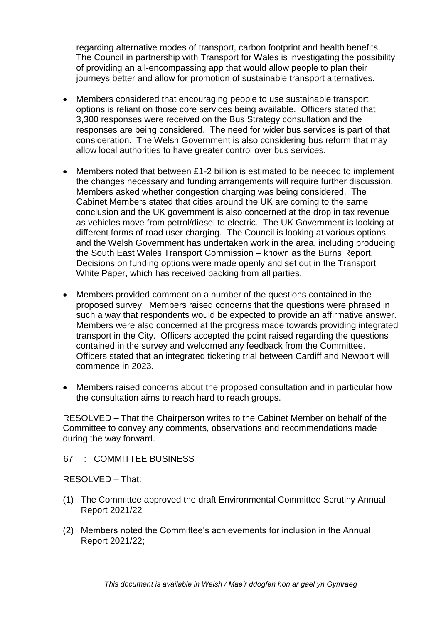regarding alternative modes of transport, carbon footprint and health benefits. The Council in partnership with Transport for Wales is investigating the possibility of providing an all-encompassing app that would allow people to plan their journeys better and allow for promotion of sustainable transport alternatives.

- Members considered that encouraging people to use sustainable transport options is reliant on those core services being available. Officers stated that 3,300 responses were received on the Bus Strategy consultation and the responses are being considered. The need for wider bus services is part of that consideration. The Welsh Government is also considering bus reform that may allow local authorities to have greater control over bus services.
- Members noted that between £1-2 billion is estimated to be needed to implement the changes necessary and funding arrangements will require further discussion. Members asked whether congestion charging was being considered. The Cabinet Members stated that cities around the UK are coming to the same conclusion and the UK government is also concerned at the drop in tax revenue as vehicles move from petrol/diesel to electric. The UK Government is looking at different forms of road user charging. The Council is looking at various options and the Welsh Government has undertaken work in the area, including producing the South East Wales Transport Commission – known as the Burns Report. Decisions on funding options were made openly and set out in the Transport White Paper, which has received backing from all parties.
- Members provided comment on a number of the questions contained in the proposed survey. Members raised concerns that the questions were phrased in such a way that respondents would be expected to provide an affirmative answer. Members were also concerned at the progress made towards providing integrated transport in the City. Officers accepted the point raised regarding the questions contained in the survey and welcomed any feedback from the Committee. Officers stated that an integrated ticketing trial between Cardiff and Newport will commence in 2023.
- Members raised concerns about the proposed consultation and in particular how the consultation aims to reach hard to reach groups.

RESOLVED – That the Chairperson writes to the Cabinet Member on behalf of the Committee to convey any comments, observations and recommendations made during the way forward.

67 : COMMITTEE BUSINESS

RESOLVED – That:

- (1) The Committee approved the draft Environmental Committee Scrutiny Annual Report 2021/22
- (2) Members noted the Committee's achievements for inclusion in the Annual Report 2021/22;